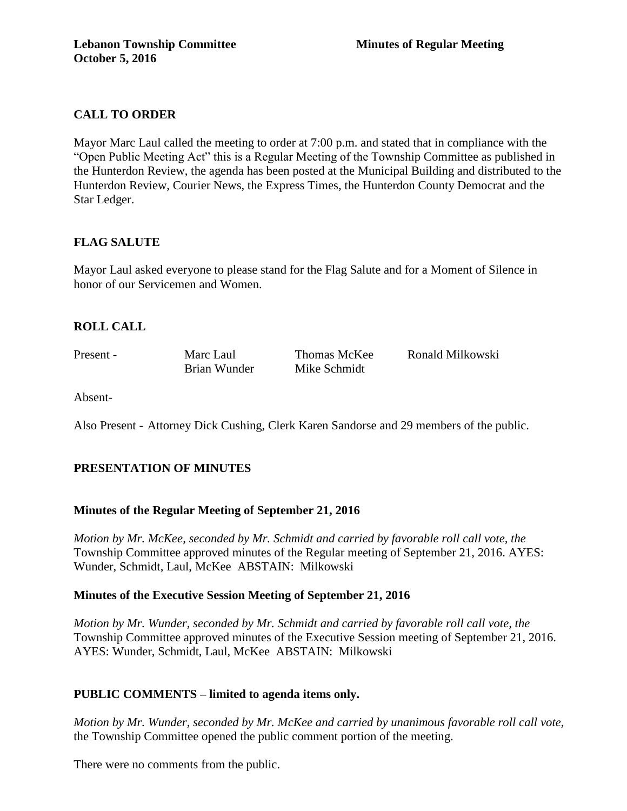# **CALL TO ORDER**

Mayor Marc Laul called the meeting to order at 7:00 p.m. and stated that in compliance with the "Open Public Meeting Act" this is a Regular Meeting of the Township Committee as published in the Hunterdon Review, the agenda has been posted at the Municipal Building and distributed to the Hunterdon Review, Courier News, the Express Times, the Hunterdon County Democrat and the Star Ledger.

# **FLAG SALUTE**

Mayor Laul asked everyone to please stand for the Flag Salute and for a Moment of Silence in honor of our Servicemen and Women.

## **ROLL CALL**

Brian Wunder Mike Schmidt

Present - Marc Laul Thomas McKee Ronald Milkowski

Absent-

Also Present - Attorney Dick Cushing, Clerk Karen Sandorse and 29 members of the public.

# **PRESENTATION OF MINUTES**

### **Minutes of the Regular Meeting of September 21, 2016**

*Motion by Mr. McKee, seconded by Mr. Schmidt and carried by favorable roll call vote, the* Township Committee approved minutes of the Regular meeting of September 21, 2016. AYES: Wunder, Schmidt, Laul, McKee ABSTAIN: Milkowski

### **Minutes of the Executive Session Meeting of September 21, 2016**

*Motion by Mr. Wunder, seconded by Mr. Schmidt and carried by favorable roll call vote, the* Township Committee approved minutes of the Executive Session meeting of September 21, 2016. AYES: Wunder, Schmidt, Laul, McKee ABSTAIN: Milkowski

# **PUBLIC COMMENTS – limited to agenda items only.**

*Motion by Mr. Wunder, seconded by Mr. McKee and carried by unanimous favorable roll call vote,* the Township Committee opened the public comment portion of the meeting.

There were no comments from the public.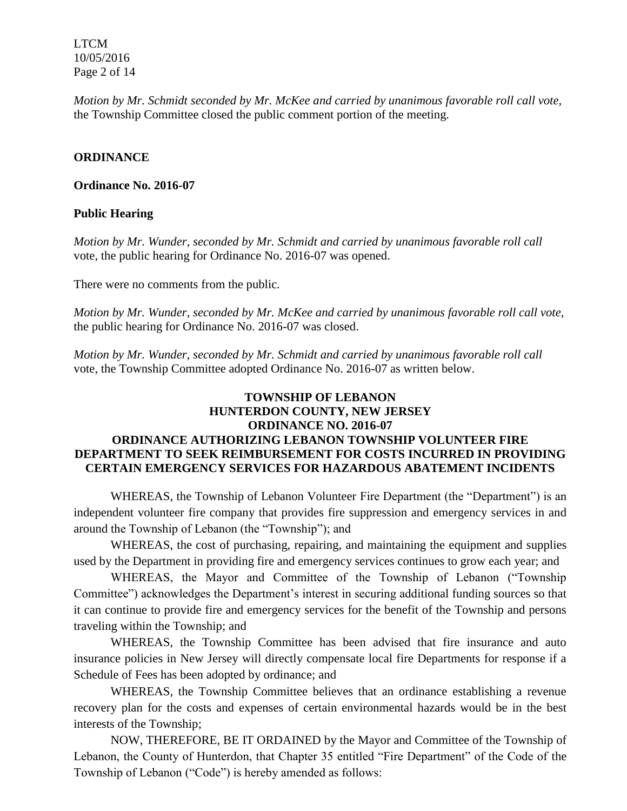LTCM 10/05/2016 Page 2 of 14

*Motion by Mr. Schmidt seconded by Mr. McKee and carried by unanimous favorable roll call vote,* the Township Committee closed the public comment portion of the meeting.

### **ORDINANCE**

#### **Ordinance No. 2016-07**

### **Public Hearing**

*Motion by Mr. Wunder, seconded by Mr. Schmidt and carried by unanimous favorable roll call*  vote, the public hearing for Ordinance No. 2016-07 was opened.

There were no comments from the public*.*

*Motion by Mr. Wunder, seconded by Mr. McKee and carried by unanimous favorable roll call vote,* the public hearing for Ordinance No. 2016-07 was closed.

*Motion by Mr. Wunder, seconded by Mr. Schmidt and carried by unanimous favorable roll call*  vote, the Township Committee adopted Ordinance No. 2016-07 as written below.

# **TOWNSHIP OF LEBANON HUNTERDON COUNTY, NEW JERSEY ORDINANCE NO. 2016-07 ORDINANCE AUTHORIZING LEBANON TOWNSHIP VOLUNTEER FIRE DEPARTMENT TO SEEK REIMBURSEMENT FOR COSTS INCURRED IN PROVIDING CERTAIN EMERGENCY SERVICES FOR HAZARDOUS ABATEMENT INCIDENTS**

WHEREAS, the Township of Lebanon Volunteer Fire Department (the "Department") is an independent volunteer fire company that provides fire suppression and emergency services in and around the Township of Lebanon (the "Township"); and

WHEREAS, the cost of purchasing, repairing, and maintaining the equipment and supplies used by the Department in providing fire and emergency services continues to grow each year; and

WHEREAS, the Mayor and Committee of the Township of Lebanon ("Township Committee") acknowledges the Department's interest in securing additional funding sources so that it can continue to provide fire and emergency services for the benefit of the Township and persons traveling within the Township; and

WHEREAS, the Township Committee has been advised that fire insurance and auto insurance policies in New Jersey will directly compensate local fire Departments for response if a Schedule of Fees has been adopted by ordinance; and

WHEREAS, the Township Committee believes that an ordinance establishing a revenue recovery plan for the costs and expenses of certain environmental hazards would be in the best interests of the Township;

NOW, THEREFORE, BE IT ORDAINED by the Mayor and Committee of the Township of Lebanon, the County of Hunterdon, that Chapter 35 entitled "Fire Department" of the Code of the Township of Lebanon ("Code") is hereby amended as follows: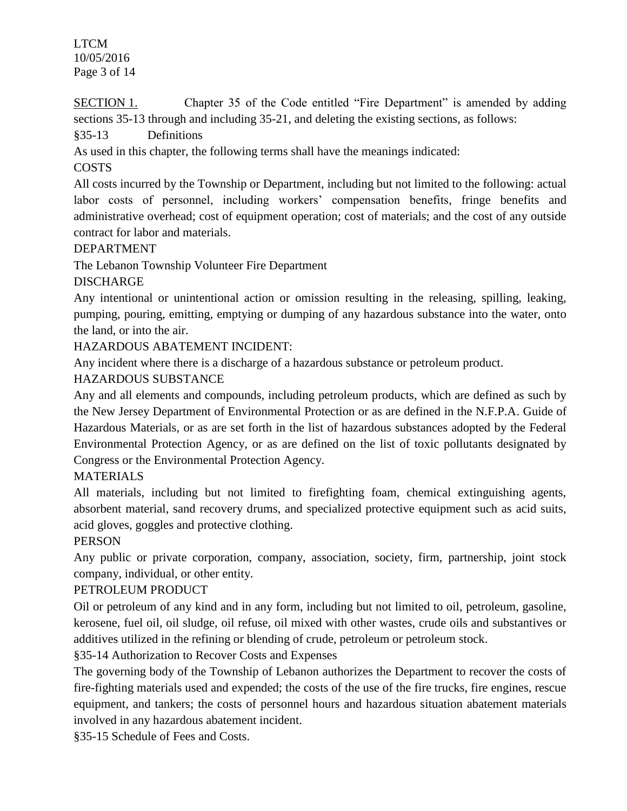LTCM 10/05/2016 Page 3 of 14

SECTION 1. Chapter 35 of the Code entitled "Fire Department" is amended by adding sections 35-13 through and including 35-21, and deleting the existing sections, as follows:

§35-13 Definitions

As used in this chapter, the following terms shall have the meanings indicated:

# COSTS

All costs incurred by the Township or Department, including but not limited to the following: actual labor costs of personnel, including workers' compensation benefits, fringe benefits and administrative overhead; cost of equipment operation; cost of materials; and the cost of any outside contract for labor and materials.

# DEPARTMENT

The Lebanon Township Volunteer Fire Department

# DISCHARGE

Any intentional or unintentional action or omission resulting in the releasing, spilling, leaking, pumping, pouring, emitting, emptying or dumping of any hazardous substance into the water, onto the land, or into the air.

HAZARDOUS ABATEMENT INCIDENT:

Any incident where there is a discharge of a hazardous substance or petroleum product.

# HAZARDOUS SUBSTANCE

Any and all elements and compounds, including petroleum products, which are defined as such by the New Jersey Department of Environmental Protection or as are defined in the N.F.P.A. Guide of Hazardous Materials, or as are set forth in the list of hazardous substances adopted by the Federal Environmental Protection Agency, or as are defined on the list of toxic pollutants designated by Congress or the Environmental Protection Agency.

# **MATERIALS**

All materials, including but not limited to firefighting foam, chemical extinguishing agents, absorbent material, sand recovery drums, and specialized protective equipment such as acid suits, acid gloves, goggles and protective clothing.

# **PERSON**

Any public or private corporation, company, association, society, firm, partnership, joint stock company, individual, or other entity.

# PETROLEUM PRODUCT

Oil or petroleum of any kind and in any form, including but not limited to oil, petroleum, gasoline, kerosene, fuel oil, oil sludge, oil refuse, oil mixed with other wastes, crude oils and substantives or additives utilized in the refining or blending of crude, petroleum or petroleum stock.

§35-14 Authorization to Recover Costs and Expenses

The governing body of the Township of Lebanon authorizes the Department to recover the costs of fire-fighting materials used and expended; the costs of the use of the fire trucks, fire engines, rescue equipment, and tankers; the costs of personnel hours and hazardous situation abatement materials involved in any hazardous abatement incident.

§35-15 Schedule of Fees and Costs.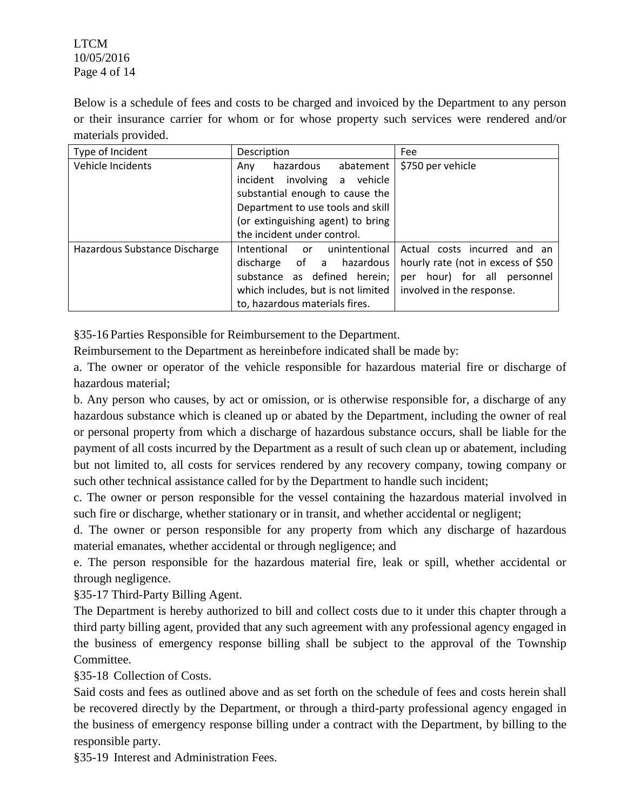LTCM 10/05/2016 Page 4 of 14

Below is a schedule of fees and costs to be charged and invoiced by the Department to any person or their insurance carrier for whom or for whose property such services were rendered and/or materials provided.

| Type of Incident              | Description                            | Fee                                |
|-------------------------------|----------------------------------------|------------------------------------|
| Vehicle Incidents             | hazardous<br>abatement<br>Anv          | \$750 per vehicle                  |
|                               | incident involving a vehicle           |                                    |
|                               | substantial enough to cause the        |                                    |
|                               | Department to use tools and skill      |                                    |
|                               | (or extinguishing agent) to bring      |                                    |
|                               | the incident under control.            |                                    |
| Hazardous Substance Discharge | unintentional<br>Intentional or        | Actual costs incurred<br>and an    |
|                               | discharge of a hazardous               | hourly rate (not in excess of \$50 |
|                               | substance as defined herein;           | hour) for all personnel<br>per     |
|                               | which includes, but is not limited $ $ | involved in the response.          |
|                               | to, hazardous materials fires.         |                                    |

§35-16 Parties Responsible for Reimbursement to the Department.

Reimbursement to the Department as hereinbefore indicated shall be made by:

a. The owner or operator of the vehicle responsible for hazardous material fire or discharge of hazardous material;

b. Any person who causes, by act or omission, or is otherwise responsible for, a discharge of any hazardous substance which is cleaned up or abated by the Department, including the owner of real or personal property from which a discharge of hazardous substance occurs, shall be liable for the payment of all costs incurred by the Department as a result of such clean up or abatement, including but not limited to, all costs for services rendered by any recovery company, towing company or such other technical assistance called for by the Department to handle such incident;

c. The owner or person responsible for the vessel containing the hazardous material involved in such fire or discharge, whether stationary or in transit, and whether accidental or negligent;

d. The owner or person responsible for any property from which any discharge of hazardous material emanates, whether accidental or through negligence; and

e. The person responsible for the hazardous material fire, leak or spill, whether accidental or through negligence.

§35-17 Third-Party Billing Agent.

The Department is hereby authorized to bill and collect costs due to it under this chapter through a third party billing agent, provided that any such agreement with any professional agency engaged in the business of emergency response billing shall be subject to the approval of the Township Committee.

§35-18 Collection of Costs.

Said costs and fees as outlined above and as set forth on the schedule of fees and costs herein shall be recovered directly by the Department, or through a third-party professional agency engaged in the business of emergency response billing under a contract with the Department, by billing to the responsible party.

§35-19 Interest and Administration Fees.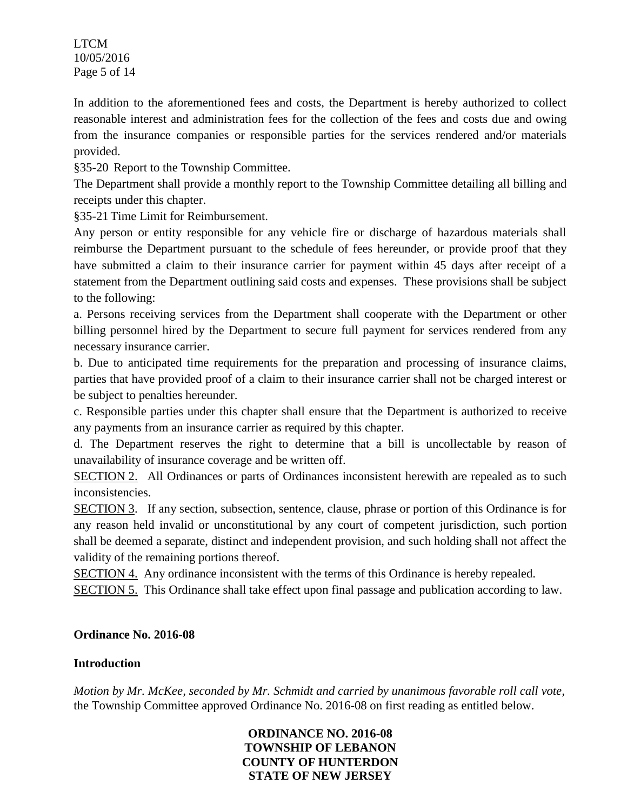LTCM 10/05/2016 Page 5 of 14

In addition to the aforementioned fees and costs, the Department is hereby authorized to collect reasonable interest and administration fees for the collection of the fees and costs due and owing from the insurance companies or responsible parties for the services rendered and/or materials provided.

§35-20 Report to the Township Committee.

The Department shall provide a monthly report to the Township Committee detailing all billing and receipts under this chapter.

§35-21 Time Limit for Reimbursement.

Any person or entity responsible for any vehicle fire or discharge of hazardous materials shall reimburse the Department pursuant to the schedule of fees hereunder, or provide proof that they have submitted a claim to their insurance carrier for payment within 45 days after receipt of a statement from the Department outlining said costs and expenses. These provisions shall be subject to the following:

a. Persons receiving services from the Department shall cooperate with the Department or other billing personnel hired by the Department to secure full payment for services rendered from any necessary insurance carrier.

b. Due to anticipated time requirements for the preparation and processing of insurance claims, parties that have provided proof of a claim to their insurance carrier shall not be charged interest or be subject to penalties hereunder.

c. Responsible parties under this chapter shall ensure that the Department is authorized to receive any payments from an insurance carrier as required by this chapter.

d. The Department reserves the right to determine that a bill is uncollectable by reason of unavailability of insurance coverage and be written off.

SECTION 2. All Ordinances or parts of Ordinances inconsistent herewith are repealed as to such inconsistencies.

SECTION 3. If any section, subsection, sentence, clause, phrase or portion of this Ordinance is for any reason held invalid or unconstitutional by any court of competent jurisdiction, such portion shall be deemed a separate, distinct and independent provision, and such holding shall not affect the validity of the remaining portions thereof.

SECTION 4. Any ordinance inconsistent with the terms of this Ordinance is hereby repealed.

SECTION 5. This Ordinance shall take effect upon final passage and publication according to law.

# **Ordinance No. 2016-08**

# **Introduction**

*Motion by Mr. McKee, seconded by Mr. Schmidt and carried by unanimous favorable roll call vote,* the Township Committee approved Ordinance No. 2016-08 on first reading as entitled below.

> **ORDINANCE NO. 2016-08 TOWNSHIP OF LEBANON COUNTY OF HUNTERDON STATE OF NEW JERSEY**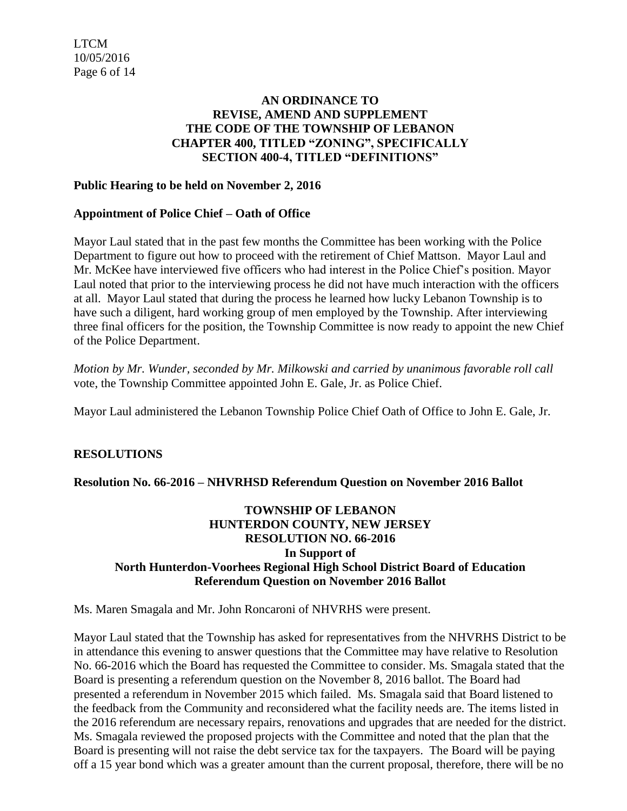# **AN ORDINANCE TO REVISE, AMEND AND SUPPLEMENT THE CODE OF THE TOWNSHIP OF LEBANON CHAPTER 400, TITLED "ZONING", SPECIFICALLY SECTION 400-4, TITLED "DEFINITIONS"**

## **Public Hearing to be held on November 2, 2016**

## **Appointment of Police Chief – Oath of Office**

Mayor Laul stated that in the past few months the Committee has been working with the Police Department to figure out how to proceed with the retirement of Chief Mattson. Mayor Laul and Mr. McKee have interviewed five officers who had interest in the Police Chief's position. Mayor Laul noted that prior to the interviewing process he did not have much interaction with the officers at all. Mayor Laul stated that during the process he learned how lucky Lebanon Township is to have such a diligent, hard working group of men employed by the Township. After interviewing three final officers for the position, the Township Committee is now ready to appoint the new Chief of the Police Department.

*Motion by Mr. Wunder, seconded by Mr. Milkowski and carried by unanimous favorable roll call*  vote, the Township Committee appointed John E. Gale, Jr. as Police Chief.

Mayor Laul administered the Lebanon Township Police Chief Oath of Office to John E. Gale, Jr.

# **RESOLUTIONS**

### **Resolution No. 66-2016 – NHVRHSD Referendum Question on November 2016 Ballot**

## **TOWNSHIP OF LEBANON HUNTERDON COUNTY, NEW JERSEY RESOLUTION NO. 66-2016 In Support of North Hunterdon-Voorhees Regional High School District Board of Education Referendum Question on November 2016 Ballot**

Ms. Maren Smagala and Mr. John Roncaroni of NHVRHS were present.

Mayor Laul stated that the Township has asked for representatives from the NHVRHS District to be in attendance this evening to answer questions that the Committee may have relative to Resolution No. 66-2016 which the Board has requested the Committee to consider. Ms. Smagala stated that the Board is presenting a referendum question on the November 8, 2016 ballot. The Board had presented a referendum in November 2015 which failed. Ms. Smagala said that Board listened to the feedback from the Community and reconsidered what the facility needs are. The items listed in the 2016 referendum are necessary repairs, renovations and upgrades that are needed for the district. Ms. Smagala reviewed the proposed projects with the Committee and noted that the plan that the Board is presenting will not raise the debt service tax for the taxpayers. The Board will be paying off a 15 year bond which was a greater amount than the current proposal, therefore, there will be no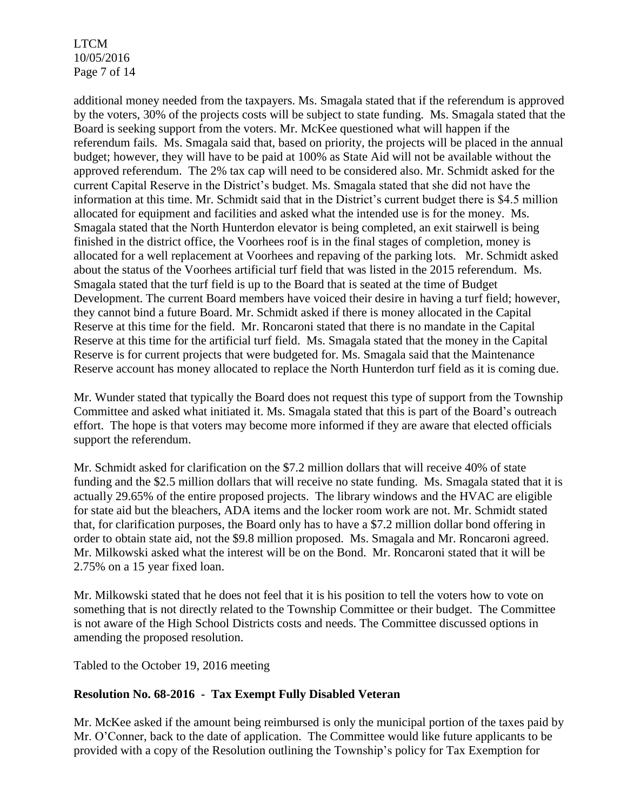LTCM 10/05/2016 Page 7 of 14

additional money needed from the taxpayers. Ms. Smagala stated that if the referendum is approved by the voters, 30% of the projects costs will be subject to state funding. Ms. Smagala stated that the Board is seeking support from the voters. Mr. McKee questioned what will happen if the referendum fails. Ms. Smagala said that, based on priority, the projects will be placed in the annual budget; however, they will have to be paid at 100% as State Aid will not be available without the approved referendum. The 2% tax cap will need to be considered also. Mr. Schmidt asked for the current Capital Reserve in the District's budget. Ms. Smagala stated that she did not have the information at this time. Mr. Schmidt said that in the District's current budget there is \$4.5 million allocated for equipment and facilities and asked what the intended use is for the money. Ms. Smagala stated that the North Hunterdon elevator is being completed, an exit stairwell is being finished in the district office, the Voorhees roof is in the final stages of completion, money is allocated for a well replacement at Voorhees and repaving of the parking lots. Mr. Schmidt asked about the status of the Voorhees artificial turf field that was listed in the 2015 referendum. Ms. Smagala stated that the turf field is up to the Board that is seated at the time of Budget Development. The current Board members have voiced their desire in having a turf field; however, they cannot bind a future Board. Mr. Schmidt asked if there is money allocated in the Capital Reserve at this time for the field. Mr. Roncaroni stated that there is no mandate in the Capital Reserve at this time for the artificial turf field. Ms. Smagala stated that the money in the Capital Reserve is for current projects that were budgeted for. Ms. Smagala said that the Maintenance Reserve account has money allocated to replace the North Hunterdon turf field as it is coming due.

Mr. Wunder stated that typically the Board does not request this type of support from the Township Committee and asked what initiated it. Ms. Smagala stated that this is part of the Board's outreach effort. The hope is that voters may become more informed if they are aware that elected officials support the referendum.

Mr. Schmidt asked for clarification on the \$7.2 million dollars that will receive 40% of state funding and the \$2.5 million dollars that will receive no state funding. Ms. Smagala stated that it is actually 29.65% of the entire proposed projects. The library windows and the HVAC are eligible for state aid but the bleachers, ADA items and the locker room work are not. Mr. Schmidt stated that, for clarification purposes, the Board only has to have a \$7.2 million dollar bond offering in order to obtain state aid, not the \$9.8 million proposed. Ms. Smagala and Mr. Roncaroni agreed. Mr. Milkowski asked what the interest will be on the Bond. Mr. Roncaroni stated that it will be 2.75% on a 15 year fixed loan.

Mr. Milkowski stated that he does not feel that it is his position to tell the voters how to vote on something that is not directly related to the Township Committee or their budget. The Committee is not aware of the High School Districts costs and needs. The Committee discussed options in amending the proposed resolution.

Tabled to the October 19, 2016 meeting

# **Resolution No. 68-2016 - Tax Exempt Fully Disabled Veteran**

Mr. McKee asked if the amount being reimbursed is only the municipal portion of the taxes paid by Mr. O'Conner, back to the date of application. The Committee would like future applicants to be provided with a copy of the Resolution outlining the Township's policy for Tax Exemption for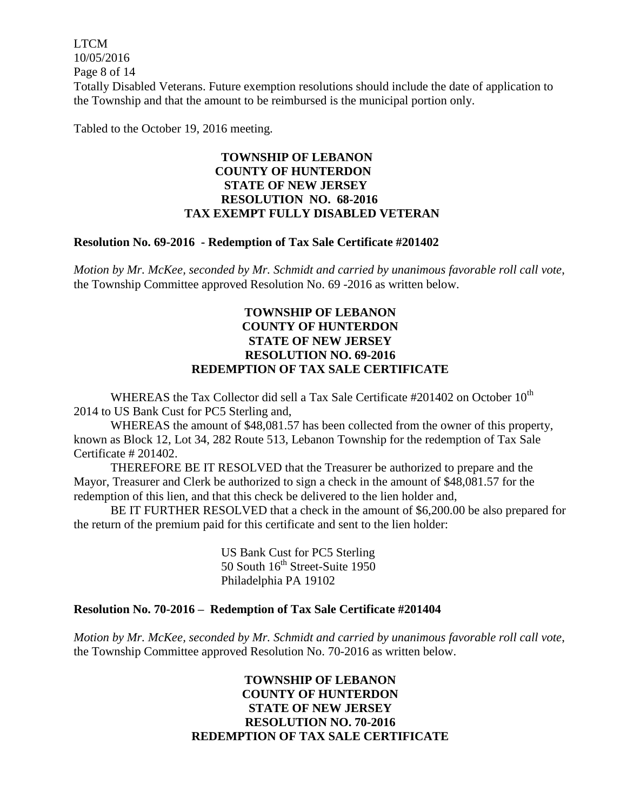LTCM 10/05/2016 Page 8 of 14 Totally Disabled Veterans. Future exemption resolutions should include the date of application to the Township and that the amount to be reimbursed is the municipal portion only.

Tabled to the October 19, 2016 meeting.

## **TOWNSHIP OF LEBANON COUNTY OF HUNTERDON STATE OF NEW JERSEY RESOLUTION NO. 68-2016 TAX EXEMPT FULLY DISABLED VETERAN**

### **Resolution No. 69-2016 - Redemption of Tax Sale Certificate #201402**

*Motion by Mr. McKee, seconded by Mr. Schmidt and carried by unanimous favorable roll call vote*, the Township Committee approved Resolution No. 69 -2016 as written below.

## **TOWNSHIP OF LEBANON COUNTY OF HUNTERDON STATE OF NEW JERSEY RESOLUTION NO. 69-2016 REDEMPTION OF TAX SALE CERTIFICATE**

WHEREAS the Tax Collector did sell a Tax Sale Certificate #201402 on October  $10^{th}$ 2014 to US Bank Cust for PC5 Sterling and,

WHEREAS the amount of \$48,081.57 has been collected from the owner of this property, known as Block 12, Lot 34, 282 Route 513, Lebanon Township for the redemption of Tax Sale Certificate # 201402.

THEREFORE BE IT RESOLVED that the Treasurer be authorized to prepare and the Mayor, Treasurer and Clerk be authorized to sign a check in the amount of \$48,081.57 for the redemption of this lien, and that this check be delivered to the lien holder and,

BE IT FURTHER RESOLVED that a check in the amount of \$6,200.00 be also prepared for the return of the premium paid for this certificate and sent to the lien holder:

> US Bank Cust for PC5 Sterling 50 South  $16<sup>th</sup>$  Street-Suite 1950 Philadelphia PA 19102

### **Resolution No. 70-2016 – Redemption of Tax Sale Certificate #201404**

*Motion by Mr. McKee, seconded by Mr. Schmidt and carried by unanimous favorable roll call vote*, the Township Committee approved Resolution No. 70-2016 as written below.

## **TOWNSHIP OF LEBANON COUNTY OF HUNTERDON STATE OF NEW JERSEY RESOLUTION NO. 70-2016 REDEMPTION OF TAX SALE CERTIFICATE**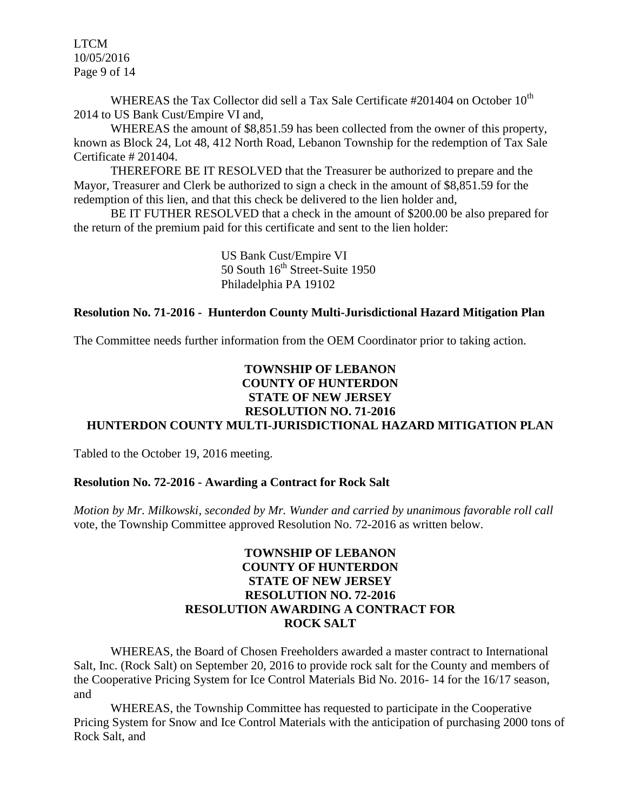LTCM 10/05/2016 Page 9 of 14

WHEREAS the Tax Collector did sell a Tax Sale Certificate #201404 on October  $10^{th}$ 2014 to US Bank Cust/Empire VI and,

WHEREAS the amount of \$8,851.59 has been collected from the owner of this property, known as Block 24, Lot 48, 412 North Road, Lebanon Township for the redemption of Tax Sale Certificate # 201404.

THEREFORE BE IT RESOLVED that the Treasurer be authorized to prepare and the Mayor, Treasurer and Clerk be authorized to sign a check in the amount of \$8,851.59 for the redemption of this lien, and that this check be delivered to the lien holder and,

BE IT FUTHER RESOLVED that a check in the amount of \$200.00 be also prepared for the return of the premium paid for this certificate and sent to the lien holder:

> US Bank Cust/Empire VI 50 South  $16<sup>th</sup>$  Street-Suite 1950 Philadelphia PA 19102

#### **Resolution No. 71-2016 - Hunterdon County Multi-Jurisdictional Hazard Mitigation Plan**

The Committee needs further information from the OEM Coordinator prior to taking action.

## **TOWNSHIP OF LEBANON COUNTY OF HUNTERDON STATE OF NEW JERSEY RESOLUTION NO. 71-2016 HUNTERDON COUNTY MULTI-JURISDICTIONAL HAZARD MITIGATION PLAN**

Tabled to the October 19, 2016 meeting.

### **Resolution No. 72-2016 - Awarding a Contract for Rock Salt**

*Motion by Mr. Milkowski, seconded by Mr. Wunder and carried by unanimous favorable roll call*  vote, the Township Committee approved Resolution No. 72-2016 as written below.

## **TOWNSHIP OF LEBANON COUNTY OF HUNTERDON STATE OF NEW JERSEY RESOLUTION NO. 72-2016 RESOLUTION AWARDING A CONTRACT FOR ROCK SALT**

WHEREAS, the Board of Chosen Freeholders awarded a master contract to International Salt, Inc. (Rock Salt) on September 20, 2016 to provide rock salt for the County and members of the Cooperative Pricing System for Ice Control Materials Bid No. 2016- 14 for the 16/17 season, and

WHEREAS, the Township Committee has requested to participate in the Cooperative Pricing System for Snow and Ice Control Materials with the anticipation of purchasing 2000 tons of Rock Salt, and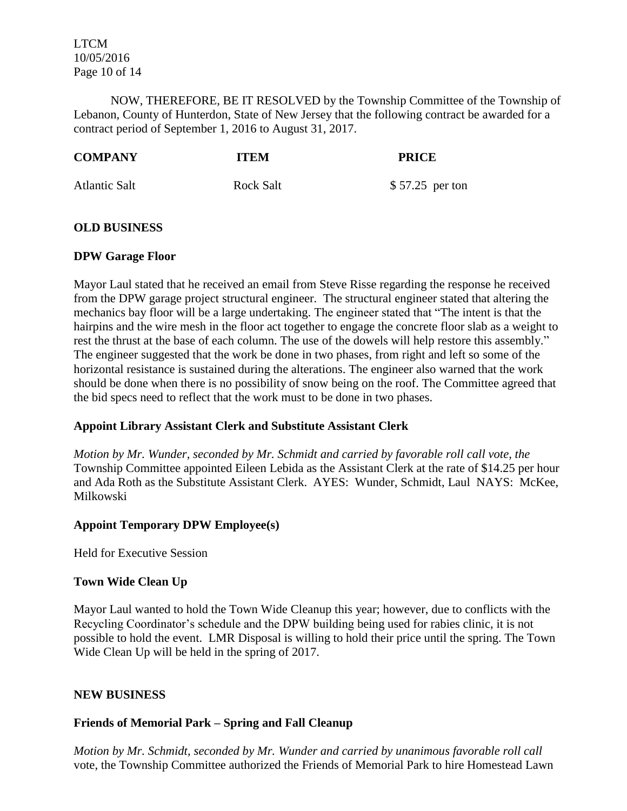LTCM 10/05/2016 Page 10 of 14

NOW, THEREFORE, BE IT RESOLVED by the Township Committee of the Township of Lebanon, County of Hunterdon, State of New Jersey that the following contract be awarded for a contract period of September 1, 2016 to August 31, 2017.

| <b>COMPANY</b>       | <b>ITEM</b>      | <b>PRICE</b>     |
|----------------------|------------------|------------------|
| <b>Atlantic Salt</b> | <b>Rock Salt</b> | $$57.25$ per ton |

## **OLD BUSINESS**

### **DPW Garage Floor**

Mayor Laul stated that he received an email from Steve Risse regarding the response he received from the DPW garage project structural engineer. The structural engineer stated that altering the mechanics bay floor will be a large undertaking. The engineer stated that "The intent is that the hairpins and the wire mesh in the floor act together to engage the concrete floor slab as a weight to rest the thrust at the base of each column. The use of the dowels will help restore this assembly." The engineer suggested that the work be done in two phases, from right and left so some of the horizontal resistance is sustained during the alterations. The engineer also warned that the work should be done when there is no possibility of snow being on the roof. The Committee agreed that the bid specs need to reflect that the work must to be done in two phases.

# **Appoint Library Assistant Clerk and Substitute Assistant Clerk**

*Motion by Mr. Wunder, seconded by Mr. Schmidt and carried by favorable roll call vote, the* Township Committee appointed Eileen Lebida as the Assistant Clerk at the rate of \$14.25 per hour and Ada Roth as the Substitute Assistant Clerk. AYES: Wunder, Schmidt, Laul NAYS: McKee, Milkowski

# **Appoint Temporary DPW Employee(s)**

Held for Executive Session

# **Town Wide Clean Up**

Mayor Laul wanted to hold the Town Wide Cleanup this year; however, due to conflicts with the Recycling Coordinator's schedule and the DPW building being used for rabies clinic, it is not possible to hold the event. LMR Disposal is willing to hold their price until the spring. The Town Wide Clean Up will be held in the spring of 2017.

### **NEW BUSINESS**

# **Friends of Memorial Park – Spring and Fall Cleanup**

*Motion by Mr. Schmidt, seconded by Mr. Wunder and carried by unanimous favorable roll call*  vote, the Township Committee authorized the Friends of Memorial Park to hire Homestead Lawn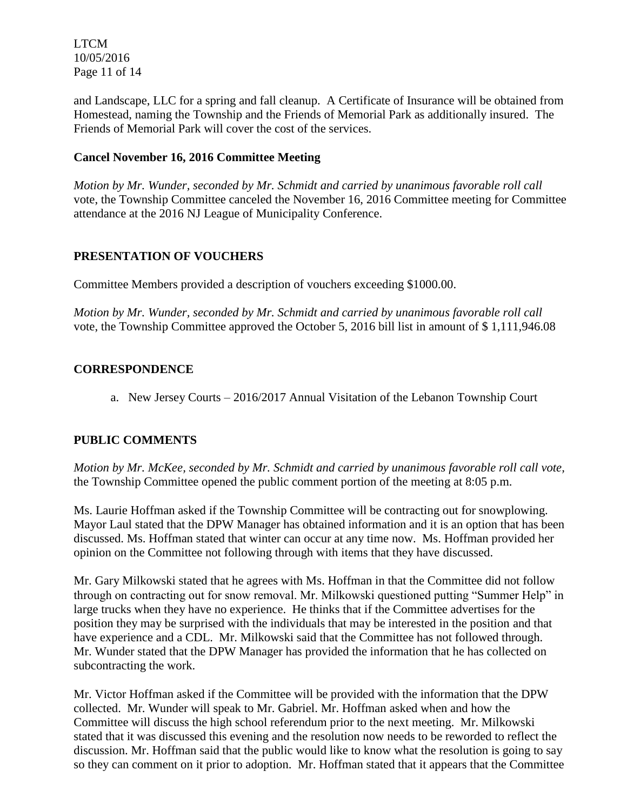LTCM 10/05/2016 Page 11 of 14

and Landscape, LLC for a spring and fall cleanup. A Certificate of Insurance will be obtained from Homestead, naming the Township and the Friends of Memorial Park as additionally insured. The Friends of Memorial Park will cover the cost of the services.

# **Cancel November 16, 2016 Committee Meeting**

*Motion by Mr. Wunder, seconded by Mr. Schmidt and carried by unanimous favorable roll call*  vote, the Township Committee canceled the November 16, 2016 Committee meeting for Committee attendance at the 2016 NJ League of Municipality Conference.

# **PRESENTATION OF VOUCHERS**

Committee Members provided a description of vouchers exceeding \$1000.00.

*Motion by Mr. Wunder, seconded by Mr. Schmidt and carried by unanimous favorable roll call*  vote, the Township Committee approved the October 5, 2016 bill list in amount of \$ 1,111,946.08

# **CORRESPONDENCE**

a. New Jersey Courts – 2016/2017 Annual Visitation of the Lebanon Township Court

# **PUBLIC COMMENTS**

*Motion by Mr. McKee, seconded by Mr. Schmidt and carried by unanimous favorable roll call vote,* the Township Committee opened the public comment portion of the meeting at 8:05 p.m.

Ms. Laurie Hoffman asked if the Township Committee will be contracting out for snowplowing. Mayor Laul stated that the DPW Manager has obtained information and it is an option that has been discussed. Ms. Hoffman stated that winter can occur at any time now. Ms. Hoffman provided her opinion on the Committee not following through with items that they have discussed.

Mr. Gary Milkowski stated that he agrees with Ms. Hoffman in that the Committee did not follow through on contracting out for snow removal. Mr. Milkowski questioned putting "Summer Help" in large trucks when they have no experience. He thinks that if the Committee advertises for the position they may be surprised with the individuals that may be interested in the position and that have experience and a CDL. Mr. Milkowski said that the Committee has not followed through. Mr. Wunder stated that the DPW Manager has provided the information that he has collected on subcontracting the work.

Mr. Victor Hoffman asked if the Committee will be provided with the information that the DPW collected. Mr. Wunder will speak to Mr. Gabriel. Mr. Hoffman asked when and how the Committee will discuss the high school referendum prior to the next meeting. Mr. Milkowski stated that it was discussed this evening and the resolution now needs to be reworded to reflect the discussion. Mr. Hoffman said that the public would like to know what the resolution is going to say so they can comment on it prior to adoption. Mr. Hoffman stated that it appears that the Committee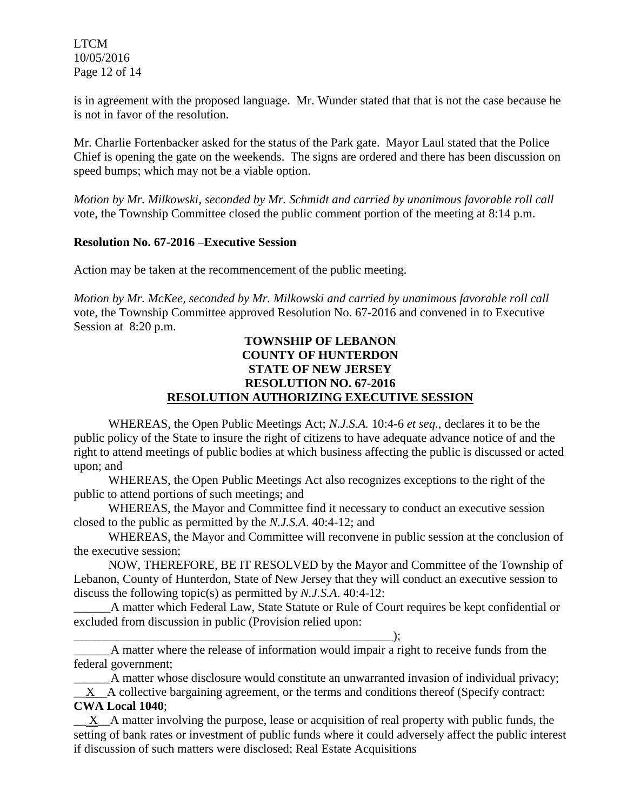LTCM 10/05/2016 Page 12 of 14

is in agreement with the proposed language. Mr. Wunder stated that that is not the case because he is not in favor of the resolution.

Mr. Charlie Fortenbacker asked for the status of the Park gate. Mayor Laul stated that the Police Chief is opening the gate on the weekends. The signs are ordered and there has been discussion on speed bumps; which may not be a viable option.

*Motion by Mr. Milkowski, seconded by Mr. Schmidt and carried by unanimous favorable roll call* vote, the Township Committee closed the public comment portion of the meeting at 8:14 p.m.

### **Resolution No. 67-2016 –Executive Session**

Action may be taken at the recommencement of the public meeting.

*Motion by Mr. McKee, seconded by Mr. Milkowski and carried by unanimous favorable roll call*  vote, the Township Committee approved Resolution No. 67-2016 and convened in to Executive Session at 8:20 p.m.

## **TOWNSHIP OF LEBANON COUNTY OF HUNTERDON STATE OF NEW JERSEY RESOLUTION NO. 67-2016 RESOLUTION AUTHORIZING EXECUTIVE SESSION**

WHEREAS, the Open Public Meetings Act; *N.J.S.A.* 10:4-6 *et seq*., declares it to be the public policy of the State to insure the right of citizens to have adequate advance notice of and the right to attend meetings of public bodies at which business affecting the public is discussed or acted upon; and

WHEREAS, the Open Public Meetings Act also recognizes exceptions to the right of the public to attend portions of such meetings; and

WHEREAS, the Mayor and Committee find it necessary to conduct an executive session closed to the public as permitted by the *N.J.S.A*. 40:4-12; and

WHEREAS, the Mayor and Committee will reconvene in public session at the conclusion of the executive session;

NOW, THEREFORE, BE IT RESOLVED by the Mayor and Committee of the Township of Lebanon, County of Hunterdon, State of New Jersey that they will conduct an executive session to discuss the following topic(s) as permitted by *N.J.S.A*. 40:4-12:

A matter which Federal Law, State Statute or Rule of Court requires be kept confidential or excluded from discussion in public (Provision relied upon:

\_\_\_\_\_\_\_\_\_\_\_\_\_\_\_\_\_\_\_\_\_\_\_\_\_\_\_\_\_\_\_\_\_\_\_\_\_\_\_\_\_\_\_\_\_\_\_\_\_\_\_\_); \_\_\_\_\_\_A matter where the release of information would impair a right to receive funds from the federal government;

A matter whose disclosure would constitute an unwarranted invasion of individual privacy;  $\bf{X}$  A collective bargaining agreement, or the terms and conditions thereof (Specify contract: **CWA Local 1040**;

 $\_\_$ X $\_\_A$  matter involving the purpose, lease or acquisition of real property with public funds, the setting of bank rates or investment of public funds where it could adversely affect the public interest if discussion of such matters were disclosed; Real Estate Acquisitions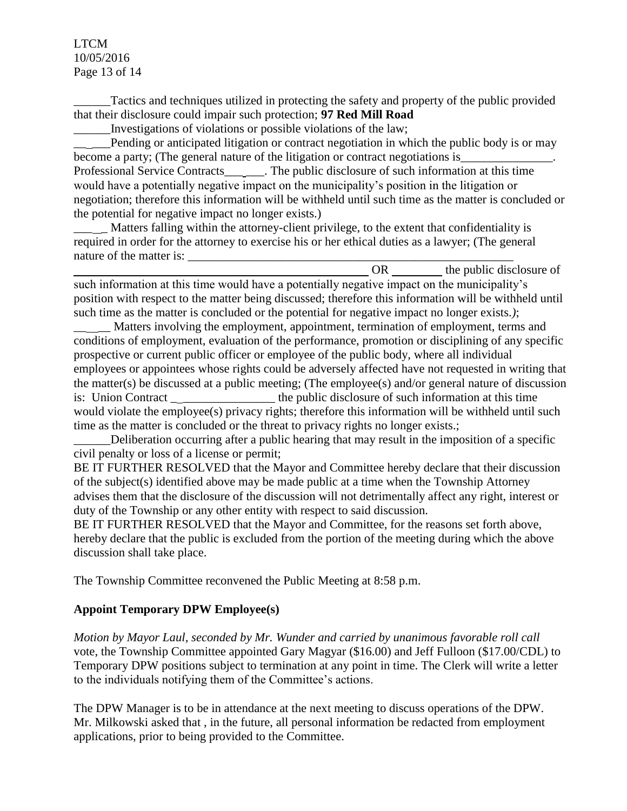LTCM 10/05/2016 Page 13 of 14

\_\_\_\_\_\_Tactics and techniques utilized in protecting the safety and property of the public provided that their disclosure could impair such protection; **97 Red Mill Road**

\_\_\_\_\_\_Investigations of violations or possible violations of the law;

Pending or anticipated litigation or contract negotiation in which the public body is or may become a party; (The general nature of the litigation or contract negotiations is Professional Service Contracts\_\_\_\_\_\_. The public disclosure of such information at this time would have a potentially negative impact on the municipality's position in the litigation or negotiation; therefore this information will be withheld until such time as the matter is concluded or the potential for negative impact no longer exists.)

Matters falling within the attorney-client privilege, to the extent that confidentiality is required in order for the attorney to exercise his or her ethical duties as a lawyer; (The general nature of the matter is:

OR the public disclosure of such information at this time would have a potentially negative impact on the municipality's position with respect to the matter being discussed; therefore this information will be withheld until such time as the matter is concluded or the potential for negative impact no longer exists.*)*;

Matters involving the employment, appointment, termination of employment, terms and conditions of employment, evaluation of the performance, promotion or disciplining of any specific prospective or current public officer or employee of the public body, where all individual employees or appointees whose rights could be adversely affected have not requested in writing that the matter(s) be discussed at a public meeting; (The employee(s) and/or general nature of discussion is: Union Contract \_\_\_\_\_\_\_\_\_\_\_\_\_\_\_\_\_\_ the public disclosure of such information at this time would violate the employee(s) privacy rights; therefore this information will be withheld until such time as the matter is concluded or the threat to privacy rights no longer exists.;

Deliberation occurring after a public hearing that may result in the imposition of a specific civil penalty or loss of a license or permit;

BE IT FURTHER RESOLVED that the Mayor and Committee hereby declare that their discussion of the subject(s) identified above may be made public at a time when the Township Attorney advises them that the disclosure of the discussion will not detrimentally affect any right, interest or duty of the Township or any other entity with respect to said discussion.

BE IT FURTHER RESOLVED that the Mayor and Committee, for the reasons set forth above, hereby declare that the public is excluded from the portion of the meeting during which the above discussion shall take place.

The Township Committee reconvened the Public Meeting at 8:58 p.m.

# **Appoint Temporary DPW Employee(s)**

*Motion by Mayor Laul, seconded by Mr. Wunder and carried by unanimous favorable roll call* vote, the Township Committee appointed Gary Magyar (\$16.00) and Jeff Fulloon (\$17.00/CDL) to Temporary DPW positions subject to termination at any point in time. The Clerk will write a letter to the individuals notifying them of the Committee's actions.

The DPW Manager is to be in attendance at the next meeting to discuss operations of the DPW. Mr. Milkowski asked that , in the future, all personal information be redacted from employment applications, prior to being provided to the Committee.